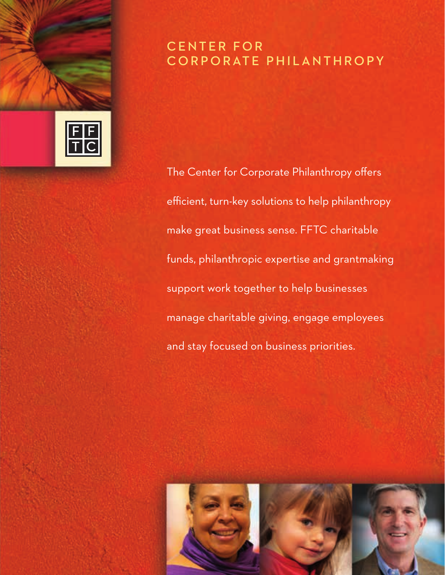# CENTER FOR CORPORATE PHILANTHROPY

The Center for Corporate Philanthropy offers efficient, turn-key solutions to help philanthropy make great business sense. FFTC charitable funds, philanthropic expertise and grantmaking support work together to help businesses manage charitable giving, engage employees and stay focused on business priorities.



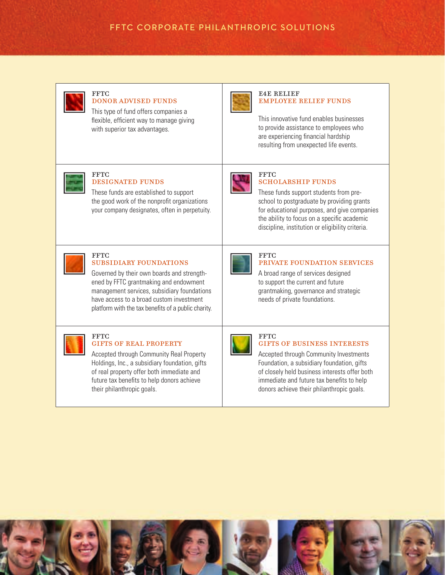# FFTC CORPORATE PHILANTHROPIC SOLUTIONS



#### **FFTC** donor advised funds

This type of fund offers companies a flexible, efficient way to manage giving with superior tax advantages.



#### e4e relief employee relief funds

This innovative fund enables businesses to provide assistance to employees who are experiencing financial hardship resulting from unexpected life events.



#### **FFTC** designated funds

These funds are established to support the good work of the nonprofit organizations your company designates, often in perpetuity.



**FFTC** 

#### **FFTC** SCHOLARSHIP FUNDS

These funds support students from preschool to postgraduate by providing grants for educational purposes, and give companies the ability to focus on a specific academic discipline, institution or eligibility criteria.

private foundation services

A broad range of services designed to support the current and future grantmaking, governance and strategic

needs of private foundations.



## **FFTC** subsidiary foundations

Governed by their own boards and strengthened by FFTC grantmaking and endowment management services, subsidiary foundations have access to a broad custom investment platform with the tax benefits of a public charity.

### **FFTC** gifts of real property

Accepted through Community Real Property Holdings, Inc., a subsidiary foundation, gifts of real property offer both immediate and future tax benefits to help donors achieve their philanthropic goals.



#### **FFTC** gifts of business interests

Accepted through Community Investments Foundation, a subsidiary foundation, gifts of closely held business interests offer both immediate and future tax benefits to help donors achieve their philanthropic goals.

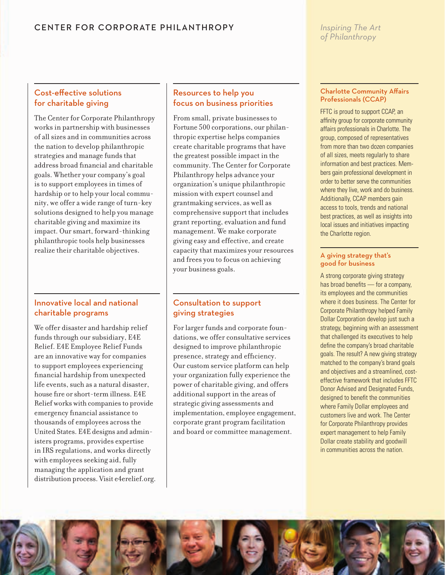## *Inspiring The Art of Philanthropy*

# Cost-effective solutions for charitable giving

The Center for Corporate Philanthropy works in partnership with businesses of all sizes and in communities across the nation to develop philanthropic strategies and manage funds that address broad financial and charitable goals. Whether your company's goal is to support employees in times of hardship or to help your local community, we offer a wide range of turn-key solutions designed to help you manage charitable giving and maximize its impact. Our smart, forward-thinking philanthropic tools help businesses realize their charitable objectives.

# Innovative local and national charitable programs

We offer disaster and hardship relief funds through our subsidiary, E4E Relief. E4E Employee Relief Funds are an innovative way for companies to support employees experiencing financial hardship from unexpected life events, such as a natural disaster, house fire or short-term illness. E4E Relief works with companies to provide emergency financial assistance to thousands of employees across the United States. E4E designs and administers programs, provides expertise in IRS regulations, and works directly with employees seeking aid, fully managing the application and grant distribution process. Visit e4erelief.org.

# Resources to help you focus on business priorities

From small, private businesses to Fortune 500 corporations, our philanthropic expertise helps companies create charitable programs that have the greatest possible impact in the community. The Center for Corporate Philanthropy helps advance your organization's unique philanthropic mission with expert counsel and grantmaking services, as well as comprehensive support that includes grant reporting, evaluation and fund management. We make corporate giving easy and effective, and create capacity that maximizes your resources and frees you to focus on achieving your business goals.

# Consultation to support giving strategies

For larger funds and corporate foundations, we offer consultative services designed to improve philanthropic presence, strategy and efficiency. Our custom service platform can help your organization fully experience the power of charitable giving, and offers additional support in the areas of strategic giving assessments and implementation, employee engagement, corporate grant program facilitation and board or committee management.

## Charlotte Community Affairs Professionals (CCAP)

FFTC is proud to support CCAP, an affinity group for corporate community affairs professionals in Charlotte. The group, composed of representatives from more than two dozen companies of all sizes, meets regularly to share information and best practices. Members gain professional development in order to better serve the communities where they live, work and do business. Additionally, CCAP members gain access to tools, trends and national best practices, as well as insights into local issues and initiatives impacting the Charlotte region.

## A giving strategy that's good for business

A strong corporate giving strategy has broad benefits — for a company, its employees and the communities where it does business. The Center for Corporate Philanthropy helped Family Dollar Corporation develop just such a strategy, beginning with an assessment that challenged its executives to help define the company's broad charitable goals. The result? A new giving strategy matched to the company's brand goals and objectives and a streamlined, costeffective framework that includes FFTC Donor Advised and Designated Funds, designed to benefit the communities where Family Dollar employees and customers live and work. The Center for Corporate Philanthropy provides expert management to help Family Dollar create stability and goodwill in communities across the nation.